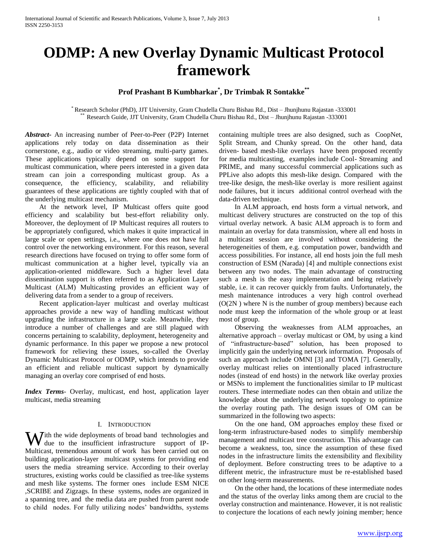# **Prof Prashant B Kumbharkar\* , Dr Trimbak R Sontakke\*\***

\* Research Scholor (PhD), JJT University, Gram Chudella Churu Bishau Rd., Dist – Jhunjhunu Rajastan -333001 \*\* Research Guide, JJT University, Gram Chudella Churu Bishau Rd., Dist – Jhunjhunu Rajastan -333001

*Abstract***-** An increasing number of Peer-to-Peer (P2P) Internet applications rely today on data dissemination as their cornerstone, e.g., audio or video streaming, multi-party games. These applications typically depend on some support for multicast communication, where peers interested in a given data stream can join a corresponding multicast group. As a consequence, the efficiency, scalability, and reliability guarantees of these applications are tightly coupled with that of the underlying multicast mechanism.

 At the network level, IP Multicast offers quite good efficiency and scalability but best-effort reliability only. Moreover, the deployment of IP Multicast requires all routers to be appropriately configured, which makes it quite impractical in large scale or open settings, i.e., where one does not have full control over the networking environment. For this reason, several research directions have focused on trying to offer some form of multicast communication at a higher level, typically via an application-oriented middleware. Such a higher level data dissemination support is often referred to as Application Layer Multicast (ALM) Multicasting provides an efficient way of delivering data from a sender to a group of receivers.

 Recent application-layer multicast and overlay multicast approaches provide a new way of handling multicast without upgrading the infrastructure in a large scale. Meanwhile, they introduce a number of challenges and are still plagued with concerns pertaining to scalability, deployment, heterogeneity and dynamic performance. In this paper we propose a new protocol framework for relieving these issues, so-called the Overlay Dynamic Multicast Protocol or ODMP, which intends to provide an efficient and reliable multicast support by dynamically managing an overlay core comprised of end hosts.

*Index Terms*- Overlay, multicast, end host, application layer multicast, media streaming

#### I. INTRODUCTION

With the wide deployments of broad band technologies and due to the insufficient infrastructure support of IPdue to the insufficient infrastructure support of IP-Multicast, tremendous amount of work has been carried out on building application-layer multicast systems for providing end users the media streaming service. According to their overlay structures, existing works could be classified as tree-like systems and mesh like systems. The former ones include ESM NICE ,SCRIBE and Zigzags. In these systems, nodes are organized in a spanning tree, and the media data are pushed from parent node to child nodes. For fully utilizing nodes' bandwidths, systems

containing multiple trees are also designed, such as CoopNet, Split Stream, and Chunky spread. On the other hand, data driven- based mesh-like overlays have been proposed recently for media multicasting, examples include Cool- Streaming and PRIME, and many successful commercial applications such as PPLive also adopts this mesh-like design. Compared with the tree-like design, the mesh-like overlay is more resilient against node failures, but it incurs additional control overhead with the data-driven technique.

 In ALM approach, end hosts form a virtual network, and multicast delivery structures are constructed on the top of this virtual overlay network. A basic ALM approach is to form and maintain an overlay for data transmission, where all end hosts in a multicast session are involved without considering the heterogeneities of them, e.g. computation power, bandwidth and access possibilities. For instance, all end hosts join the full mesh construction of ESM (Narada) [4] and multiple connections exist between any two nodes. The main advantage of constructing such a mesh is the easy implementation and being relatively stable, i.e. it can recover quickly from faults. Unfortunately, the mesh maintenance introduces a very high control overhead  $(O(2N))$  where N is the number of group members) because each node must keep the information of the whole group or at least most of group.

 Observing the weaknesses from ALM approaches, an alternative approach – overlay multicast or OM, by using a kind of "infrastructure-based" solution, has been proposed to implicitly gain the underlying network information. Proposals of such an approach include OMNI [3] and TOMA [7]. Generally, overlay multicast relies on intentionally placed infrastructure nodes (instead of end hosts) in the network like overlay proxies or MSNs to implement the functionalities similar to IP multicast routers. These intermediate nodes can then obtain and utilize the knowledge about the underlying network topology to optimize the overlay routing path. The design issues of OM can be summarized in the following two aspects:

 On the one hand, OM approaches employ these fixed or long-term infrastructure-based nodes to simplify membership management and multicast tree construction. This advantage can become a weakness, too, since the assumption of these fixed nodes in the infrastructure limits the extensibility and flexibility of deployment. Before constructing trees to be adaptive to a different metric, the infrastructure must be re-established based on other long-term measurements.

 On the other hand, the locations of these intermediate nodes and the status of the overlay links among them are crucial to the overlay construction and maintenance. However, it is not realistic to conjecture the locations of each newly joining member; hence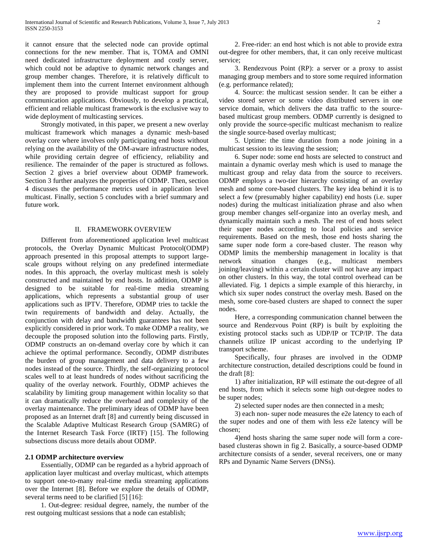it cannot ensure that the selected node can provide optimal connections for the new member. That is, TOMA and OMNI need dedicated infrastructure deployment and costly server, which could not be adaptive to dynamic network changes and group member changes. Therefore, it is relatively difficult to implement them into the current Internet environment although they are proposed to provide multicast support for group communication applications. Obviously, to develop a practical, efficient and reliable multicast framework is the exclusive way to wide deployment of multicasting services.

 Strongly motivated, in this paper, we present a new overlay multicast framework which manages a dynamic mesh-based overlay core where involves only participating end hosts without relying on the availability of the OM-aware infrastructure nodes, while providing certain degree of efficiency, reliability and resilience. The remainder of the paper is structured as follows. Section 2 gives a brief overview about ODMP framework. Section 3 further analyzes the properties of ODMP. Then, section 4 discusses the performance metrics used in application level multicast. Finally, section 5 concludes with a brief summary and future work.

#### II. FRAMEWORK OVERVIEW

 Different from aforementioned application level multicast protocols, the Overlay Dynamic Multicast Protocol(ODMP) approach presented in this proposal attempts to support largescale groups without relying on any predefined intermediate nodes. In this approach, the overlay multicast mesh is solely constructed and maintained by end hosts. In addition, ODMP is designed to be suitable for real-time media streaming applications, which represents a substantial group of user applications such as IPTV. Therefore, ODMP tries to tackle the twin requirements of bandwidth and delay. Actually, the conjunction with delay and bandwidth guarantees has not been explicitly considered in prior work. To make ODMP a reality, we decouple the proposed solution into the following parts. Firstly, ODMP constructs an on-demand overlay core by which it can achieve the optimal performance. Secondly, ODMP distributes the burden of group management and data delivery to a few nodes instead of the source. Thirdly, the self-organizing protocol scales well to at least hundreds of nodes without sacrificing the quality of the overlay network. Fourthly, ODMP achieves the scalability by limiting group management within locality so that it can dramatically reduce the overhead and complexity of the overlay maintenance. The preliminary ideas of ODMP have been proposed as an Internet draft [8] and currently being discussed in the Scalable Adaptive Multicast Research Group (SAMRG) of the Internet Research Task Force (IRTF) [15]. The following subsections discuss more details about ODMP.

#### **2.1 ODMP architecture overview**

 Essentially, ODMP can be regarded as a hybrid approach of application layer multicast and overlay multicast, which attempts to support one-to-many real-time media streaming applications over the Internet [8]. Before we explore the details of ODMP, several terms need to be clarified [5] [16]:

 1. Out-degree: residual degree, namely, the number of the rest outgoing multicast sessions that a node can establish;

 2. Free-rider: an end host which is not able to provide extra out-degree for other members, that, it can only receive multicast service;

 3. Rendezvous Point (RP): a server or a proxy to assist managing group members and to store some required information (e.g. performance related);

 4. Source: the multicast session sender. It can be either a video stored server or some video distributed servers in one service domain, which delivers the data traffic to the sourcebased multicast group members. ODMP currently is designed to only provide the source-specific multicast mechanism to realize the single source-based overlay multicast;

 5. Uptime: the time duration from a node joining in a multicast session to its leaving the session;

 6. Super node: some end hosts are selected to construct and maintain a dynamic overlay mesh which is used to manage the multicast group and relay data from the source to receivers. ODMP employs a two-tier hierarchy consisting of an overlay mesh and some core-based clusters. The key idea behind it is to select a few (presumably higher capability) end hosts (i.e. super nodes) during the multicast initialization phrase and also when group member changes self-organize into an overlay mesh, and dynamically maintain such a mesh. The rest of end hosts select their super nodes according to local policies and service requirements. Based on the mesh, those end hosts sharing the same super node form a core-based cluster. The reason why ODMP limits the membership management in locality is that network situation changes (e.g., multicast members joining/leaving) within a certain cluster will not have any impact on other clusters. In this way, the total control overhead can be alleviated. Fig. 1 depicts a simple example of this hierarchy, in which six super nodes construct the overlay mesh. Based on the mesh, some core-based clusters are shaped to connect the super nodes.

 Here, a corresponding communication channel between the source and Rendezvous Point (RP) is built by exploiting the existing protocol stacks such as UDP/IP or TCP/IP. The data channels utilize IP unicast according to the underlying IP transport scheme.

 Specifically, four phrases are involved in the ODMP architecture construction, detailed descriptions could be found in the draft [8]:

 1) after initialization, RP will estimate the out-degree of all end hosts, from which it selects some high out-degree nodes to be super nodes;

2) selected super nodes are then connected in a mesh;

 3) each non- super node measures the e2e latency to each of the super nodes and one of them with less e2e latency will be chosen;

 4)end hosts sharing the same super node will form a corebased clusteras shown in fig 2. Basically, a source-based ODMP architecture consists of a sender, several receivers, one or many RPs and Dynamic Name Servers (DNSs).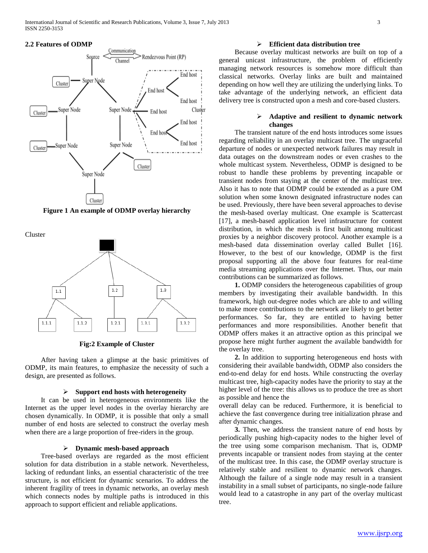

**Figure 1 An example of ODMP overlay hierarchy**

Cluster



**Fig:2 Example of Cluster**

 After having taken a glimpse at the basic primitives of ODMP, its main features, to emphasize the necessity of such a design, are presented as follows.

## **Support end hosts with heterogeneity**

 It can be used in heterogeneous environments like the Internet as the upper level nodes in the overlay hierarchy are chosen dynamically. In ODMP, it is possible that only a small number of end hosts are selected to construct the overlay mesh when there are a large proportion of free-riders in the group.

# **Dynamic mesh-based approach**

 Tree-based overlays are regarded as the most efficient solution for data distribution in a stable network. Nevertheless, lacking of redundant links, an essential characteristic of the tree structure, is not efficient for dynamic scenarios. To address the inherent fragility of trees in dynamic networks, an overlay mesh which connects nodes by multiple paths is introduced in this approach to support efficient and reliable applications.

# **Efficient data distribution tree**

 Because overlay multicast networks are built on top of a general unicast infrastructure, the problem of efficiently managing network resources is somehow more difficult than classical networks. Overlay links are built and maintained depending on how well they are utilizing the underlying links. To take advantage of the underlying network, an efficient data delivery tree is constructed upon a mesh and core-based clusters.

# **Adaptive and resilient to dynamic network changes**

 The transient nature of the end hosts introduces some issues regarding reliability in an overlay multicast tree. The ungraceful departure of nodes or unexpected network failures may result in data outages on the downstream nodes or even crashes to the whole multicast system. Nevertheless, ODMP is designed to be robust to handle these problems by preventing incapable or transient nodes from staying at the center of the multicast tree. Also it has to note that ODMP could be extended as a pure OM solution when some known designated infrastructure nodes can be used. Previously, there have been several approaches to devise the mesh-based overlay multicast. One example is Scattercast [17], a mesh-based application level infrastructure for content distribution, in which the mesh is first built among multicast proxies by a neighbor discovery protocol. Another example is a mesh-based data dissemination overlay called Bullet [16]. However, to the best of our knowledge, ODMP is the first proposal supporting all the above four features for real-time media streaming applications over the Internet. Thus, our main contributions can be summarized as follows.

 **1.** ODMP considers the heterogeneous capabilities of group members by investigating their available bandwidth. In this framework, high out-degree nodes which are able to and willing to make more contributions to the network are likely to get better performances. So far, they are entitled to having better performances and more responsibilities. Another benefit that ODMP offers makes it an attractive option as this principal we propose here might further augment the available bandwidth for the overlay tree.

 **2.** In addition to supporting heterogeneous end hosts with considering their available bandwidth, ODMP also considers the end-to-end delay for end hosts. While constructing the overlay multicast tree, high-capacity nodes have the priority to stay at the higher level of the tree: this allows us to produce the tree as short as possible and hence the

overall delay can be reduced. Furthermore, it is beneficial to achieve the fast convergence during tree initialization phrase and after dynamic changes.

 **3.** Then, we address the transient nature of end hosts by periodically pushing high-capacity nodes to the higher level of the tree using some comparison mechanism. That is, ODMP prevents incapable or transient nodes from staying at the center of the multicast tree. In this case, the ODMP overlay structure is relatively stable and resilient to dynamic network changes. Although the failure of a single node may result in a transient instability in a small subset of participants, no single-node failure would lead to a catastrophe in any part of the overlay multicast tree.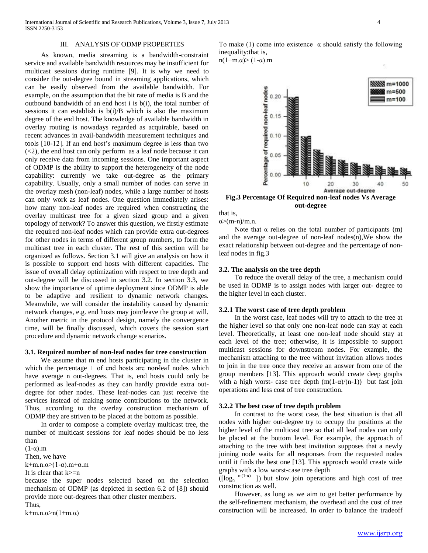## III. ANALYSIS OF ODMP PROPERTIES

 As known, media streaming is a bandwidth-constraint service and available bandwidth resources may be insufficient for multicast sessions during runtime [9]. It is why we need to consider the out-degree bound in streaming applications, which can be easily observed from the available bandwidth. For example, on the assumption that the bit rate of media is B and the outbound bandwidth of an end host i is b(i), the total number of sessions it can establish is b(i)/B which is also the maximum degree of the end host. The knowledge of available bandwidth in overlay routing is nowadays regarded as acquirable, based on recent advances in avail-bandwidth measurement techniques and tools [10-12]. If an end host's maximum degree is less than two  $(<2)$ , the end host can only perform as a leaf node because it can only receive data from incoming sessions. One important aspect of ODMP is the ability to support the heterogeneity of the node capability: currently we take out-degree as the primary capability. Usually, only a small number of nodes can serve in the overlay mesh (non-leaf) nodes, while a large number of hosts can only work as leaf nodes. One question immediately arises: how many non-leaf nodes are required when constructing the overlay multicast tree for a given sized group and a given topology of network? To answer this question, we firstly estimate the required non-leaf nodes which can provide extra out-degrees for other nodes in terms of different group numbers, to form the multicast tree in each cluster. The rest of this section will be organized as follows. Section 3.1 will give an analysis on how it is possible to support end hosts with different capacities. The issue of overall delay optimization with respect to tree depth and out-degree will be discussed in section 3.2. In section 3.3, we show the importance of uptime deployment since ODMP is able to be adaptive and resilient to dynamic network changes. Meanwhile, we will consider the instability caused by dynamic network changes, e.g. end hosts may join/leave the group at will. Another metric in the protocol design, namely the convergence time, will be finally discussed, which covers the session start procedure and dynamic network change scenarios.

#### **3.1. Required number of non-leaf nodes for tree construction**

 We assume that m end hosts participating in the cluster in which the percentage  $\Box$  of end hosts are non-leaf nodes which have average n out-degrees. That is, end hosts could only be performed as leaf-nodes as they can hardly provide extra outdegree for other nodes. These leaf-nodes can just receive the services instead of making some contributions to the network. Thus, according to the overlay construction mechanism of ODMP they are striven to be placed at the bottom as possible.

 In order to compose a complete overlay multicast tree, the number of multicast sessions for leaf nodes should be no less than

 $(1-\alpha)$ .m

Then, we have

 $k+m.n.\alpha>(1-\alpha).m+\alpha.m$ 

It is clear that  $k>=n$ 

because the super nodes selected based on the selection mechanism of ODMP (as depicted in section 6.2 of [8]) should provide more out-degrees than other cluster members.

Thus,

k+m.n. $\alpha$ >n(1+m. $\alpha$ )

To make (1) come into existence  $\alpha$  should satisfy the following inequality:that is,

n(1+m. $\alpha$ )> (1- $\alpha$ ).m



**Fig.3 Percentage Of Required non-leaf nodes Vs Average out-degree**

that is,

 $\alpha$  m-n)/m.n.

Note that  $\alpha$  relies on the total number of participants (m) and the average out-degree of non-leaf nodes(n),We show the exact relationship between out-degree and the percentage of nonleaf nodes in fig.3

### **3.2. The analysis on the tree depth**

 To reduce the overall delay of the tree, a mechanism could be used in ODMP is to assign nodes with larger out- degree to the higher level in each cluster.

#### **3.2.1 The worst case of tree depth problem**

 In the worst case, leaf nodes will try to attach to the tree at the higher level so that only one non-leaf node can stay at each level. Theoretically, at least one non-leaf node should stay at each level of the tree; otherwise, it is impossible to support multicast sessions for downstream nodes. For example, the mechanism attaching to the tree without invitation allows nodes to join in the tree once they receive an answer from one of the group members [13]. This approach would create deep graphs with a high worst- case tree depth  $(m(1-\alpha)/(n-1))$  but fast join operations and less cost of tree construction.

## **3.2.2 The best case of tree depth problem**

 In contrast to the worst case, the best situation is that all nodes with higher out-degree try to occupy the positions at the higher level of the multicast tree so that all leaf nodes can only be placed at the bottom level. For example, the approach of attaching to the tree with best invitation supposes that a newly joining node waits for all responses from the requested nodes until it finds the best one [13]. This approach would create wide graphs with a low worst-case tree depth

 $(\lceil \log_n \sqrt{m(1-\alpha)} \rceil)$  but slow join operations and high cost of tree construction as well.

 However, as long as we aim to get better performance by the self-refinement mechanism, the overhead and the cost of tree construction will be increased. In order to balance the tradeoff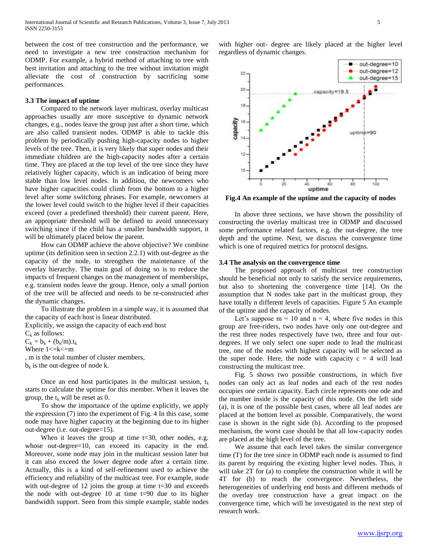between the cost of tree construction and the performance, we need to investigate a new tree construction mechanism for ODMP. For example, a hybrid method of attaching to tree with best invitation and attaching to the tree without invitation might alleviate the cost of construction by sacrificing some performances.

#### **3.3 The impact of uptime**

 Compared to the network layer multicast, overlay multicast approaches usually are more susceptive to dynamic network changes, e.g., nodes leave the group just after a short time, which are also called transient nodes. ODMP is able to tackle this problem by periodically pushing high-capacity nodes to higher levels of the tree. Then, it is very likely that super nodes and their immediate children are the high-capacity nodes after a certain time. They are placed at the top level of the tree since they have relatively higher capacity, which is an indication of being more stable than low level nodes. In addition, the newcomers who have higher capacities could climb from the bottom to a higher level after some switching phrases. For example, newcomers at the lower level could switch to the higher level if their capacities exceed (over a predefined threshold) their current parent. Here, an appropriate threshold will be defined to avoid unnecessary switching since if the child has a smaller bandwidth support, it will be ultimately placed below the parent.

 How can ODMP achieve the above objective? We combine uptime (its definition seen in section 2.2.1) with out-degree as the capacity of the node, to strengthen the maintenance of the overlay hierarchy. The main goal of doing so is to reduce the impacts of frequent changes on the management of memberships, e.g. transient nodes leave the group. Hence, only a small portion of the tree will be affected and needs to be re-constructed after the dynamic changes.

 To illustrate the problem in a simple way, it is assumed that the capacity of each host is linear distributed.

Explicitly, we assign the capacity of each end host  $C_k$  as follows:

 $C_k = b_k + (b_k/m).t_k$ Where  $1 \le k \le m$ 

, m is the total number of cluster members,  $b_k$  is the out-degree of node k.

Once an end host participates in the multicast session,  $t_k$ starts to calculate the uptime for this member. When it leaves the group, the  $t_k$  will be reset as 0.

 To show the importance of the uptime explicitly, we apply the expression (7) into the experiment of Fig. 4 In this case, some node may have higher capacity at the beginning due to its higher out-degree (i.e. out-degree=15).

When it leaves the group at time  $t=30$ , other nodes, e.g. whose out-degree=10, can exceed its capacity in the end. Moreover, some node may join in the multicast session later but it can also exceed the lower degree node after a certain time. Actually, this is a kind of self-refinement used to achieve the efficiency and reliability of the multicast tree. For example, node with out-degree of 12 joins the group at time t=30 and exceeds the node with out-degree  $10$  at time  $t=90$  due to its higher bandwidth support. Seen from this simple example, stable nodes

with higher out- degree are likely placed at the higher level regardless of dynamic changes.



**Fig.4 An example of the uptime and the capacity of nodes**

 In above three sections, we have shown the possibility of constructing the overlay multicast tree in ODMP and discussed some performance related factors, e.g. the out-degree, the tree depth and the uptime. Next, we discuss the convergence time which is one of required metrics for protocol designs.

#### **3.4 The analysis on the convergence time**

 The proposed approach of multicast tree construction should be beneficial not only to satisfy the service requirements, but also to shortening the convergence time [14]. On the assumption that N nodes take part in the multicast group, they have totally n different levels of capacities. Figure 5 An example of the uptime and the capacity of nodes.

Let's suppose  $m = 10$  and  $n = 4$ , where five nodes in this group are free-riders, two nodes have only one out-degree and the rest three nodes respectively have two, three and four outdegrees. If we only select one super node to lead the multicast tree, one of the nodes with highest capacity will be selected as the super node. Here, the node with capacity  $c = 4$  will lead constructing the multicast tree.

 Fig. 5 shows two possible constructions, in which five nodes can only act as leaf nodes and each of the rest nodes occupies one certain capacity. Each circle represents one ode and the number inside is the capacity of this node. On the left side (a), it is one of the possible best cases, where all leaf nodes are placed at the bottom level as possible. Comparatively, the worst case is shown in the right side (b). According to the proposed mechanism, the worst case should be that all low-capacity nodes are placed at the high level of the tree.

 We assume that each level takes the similar convergence time (T) for the tree since in ODMP each node is assumed to find its parent by requiring the existing higher level nodes. Thus, it will take 2T for (a) to complete the construction while it will be 4T for (b) to reach the convergence. Nevertheless, the heterogeneities of underlying end hosts and different methods of the overlay tree construction have a great impact on the convergence time, which will be investigated in the next step of research work.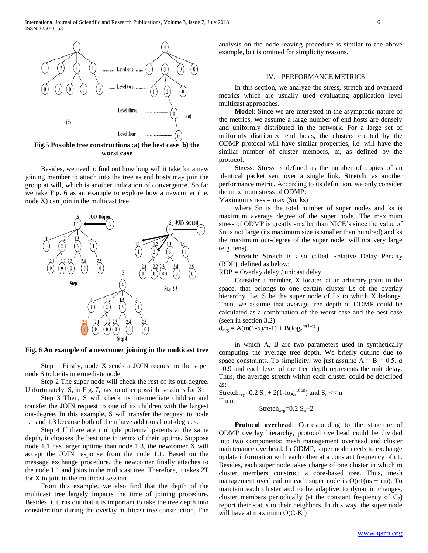

**Fig.5 Possible tree constructions :a) the best case b) the worst case**

 Besides, we need to find out how long will it take for a new joining member to attach into the tree as end hosts may join the group at will, which is another indication of convergence. So far we take Fig. 6 as an example to explore how a newcomer (i.e. node X) can join in the multicast tree.



**Fig. 6 An example of a newcomer joining in the multicast tree**

 Step 1 Firstly, node X sends a JOIN request to the super node S to be its intermediate node.

 Step 2 The super node will check the rest of its out-degree. Unfortunately, S, in Fig. 7, has no other possible sessions for X.

 Step 3 Then, S will check its intermediate children and transfer the JOIN request to one of its children with the largest out-degree. In this example, S will transfer the request to node 1.1 and 1.3 because both of them have additional out-degrees.

 Step 4 If there are multiple potential parents at the same depth, it chooses the best one in terms of their uptime. Suppose node 1.1 has larger uptime than node 1.3, the newcomer X will accept the JOIN response from the node 1.1. Based on the message exchange procedure, the newcomer finally attaches to the node 1.1 and joins in the multicast tree. Therefore, it takes 2T for X to join in the multicast session.

 From this example, we also find that the depth of the multicast tree largely impacts the time of joining procedure. Besides, it turns out that it is important to take the tree depth into consideration during the overlay multicast tree construction. The

analysis on the node leaving procedure is similar to the above example, but is omitted for simplicity reasons.

## IV. PERFORMANCE METRICS

 In this section, we analyze the stress, stretch and overhead metrics which are usually used evaluating application level multicast approaches.

 **Mod**el: Since we are interested in the asymptotic nature of the metrics, we assume a large number of end hosts are densely and uniformly distributed in the network. For a large set of uniformly distributed end hosts, the clusters created by the ODMP protocol will have similar properties, i.e. will have the similar number of cluster members, m, as defined by the protocol.

 **Stress**: Stress is defined as the number of copies of an identical packet sent over a single link. **Stretch**: as another performance metric. According to its definition, we only consider the maximum stress of ODMP:

Maximum stress  $=$  max  $(Sn, ks)$ 

 where Sn is the total number of super nodes and ks is maximum average degree of the super node. The maximum stress of ODMP is greatly smaller than NICE's since the value of Sn is not large (its maximum size is smaller than hundred) and ks the maximum out-degree of the super node, will not very large (e.g. tens).

 **Stretch**: Stretch is also called Relative Delay Penalty (RDP), defined as below:

RDP = Overlay delay / unicast delay

 Consider a member, X located at an arbitrary point in the space, that belongs to one certain cluster Ls of the overlay hierarchy. Let S be the super node of Ls to which X belongs. Then, we assume that average tree depth of ODMP could be calculated as a combination of the worst case and the best case (seen in section 3.2):

 $d_{avg} = A(m(1-\alpha)/n-1) + B(log_n^{m(1-\alpha)})$ 

 in which A, B are two parameters used in synthetically computing the average tree depth. We briefly outline due to space constraints. To simplicity, we just assume  $A = B = 0.5$ ,  $\alpha$ =0.9 and each level of the tree depth represents the unit delay. Thus, the average stretch within each cluster could be described as:

Stretch<sub>avg</sub>=0.2 S<sub>n</sub> + 2(1-log<sub>n</sub><sup>10Sn</sup>) and S<sub>n</sub> << n Then,

Stretch<sub>avg</sub>= $0.2 S_n + 2$ 

 **Protocol overhead**: Corresponding to the structure of ODMP overlay hierarchy, protocol overhead could be divided into two components: mesh management overhead and cluster maintenance overhead. In ODMP, super node needs to exchange update information with each other at a constant frequency of c1. Besides, each super node takes charge of one cluster in which m cluster members construct a core-based tree. Thus, mesh management overhead on each super node is  $O(c1(ns + m))$ . To maintain each cluster and to be adaptive to dynamic changes, cluster members periodically (at the constant frequency of  $C_2$ ) report their status to their neighbors. In this way, the super node will have at maximum  $O(C_2K)$